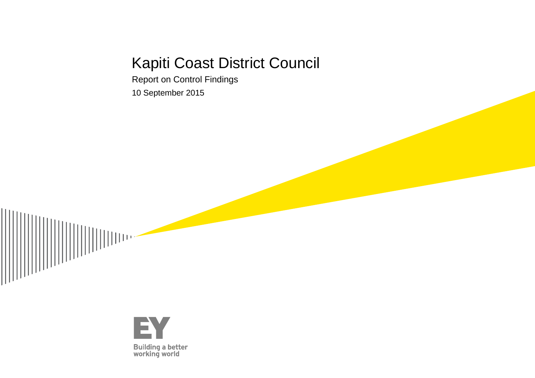# Kapiti Coast District Council

Report on Control Findings

10 September 2015



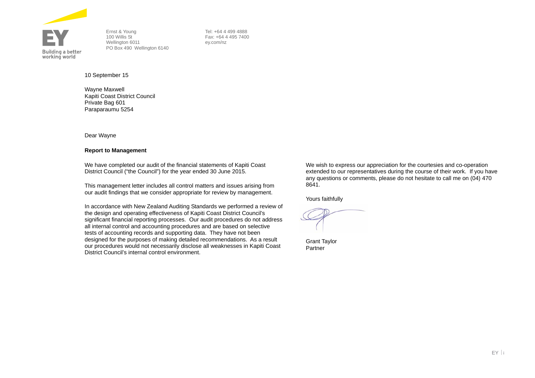

Ernst & Young 100 Willis St Wellington 6011 PO Box 490 Wellington 6140  Tel: +64 4 499 4888 Fax: +64 4 495 7400 ey.com/nz

10 September 15

Wayne Maxwell Kapiti Coast District Council Private Bag 601 Paraparaumu 5254

Dear Wayne

#### **Report to Management**

We have completed our audit of the financial statements of Kapiti Coast District Council ("the Council") for the year ended 30 June 2015.

This management letter includes all control matters and issues arising from our audit findings that we consider appropriate for review by management.

In accordance with New Zealand Auditing Standards we performed a review of the design and operating effectiveness of Kapiti Coast District Council's significant financial reporting processes. Our audit procedures do not address all internal control and accounting procedures and are based on selective tests of accounting records and supporting data. They have not been designed for the purposes of making detailed recommendations. As a result our procedures would not necessarily disclose all weaknesses in Kapiti Coast District Council's internal control environment.

We wish to express our appreciation for the courtesies and co-operation extended to our representatives during the course of their work. If you have any questions or comments, please do not hesitate to call me on (04) 470 8641.

Yours faithfully

Grant Taylor Partner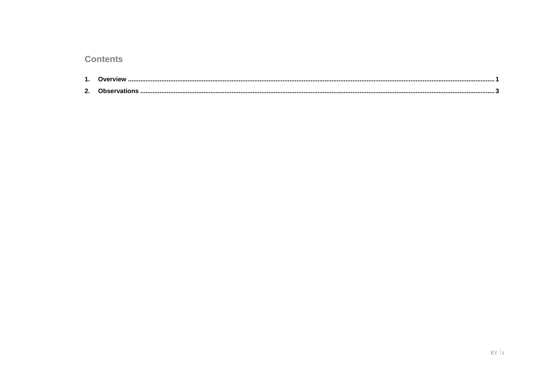## **Contents**

| -- |  |
|----|--|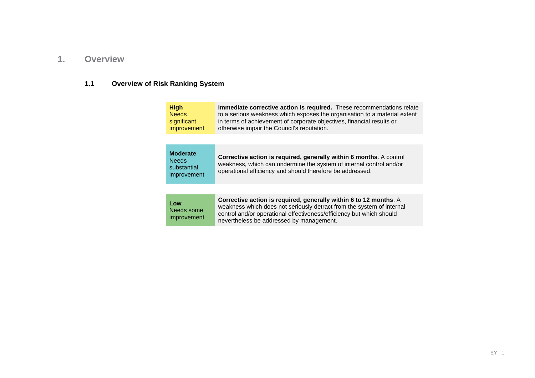### **1. Overview**

## **1.1 Overview of Risk Ranking System**

| <b>High</b>  | Immediate corrective action is required. These recommendations relate     |
|--------------|---------------------------------------------------------------------------|
| <b>Needs</b> | to a serious weakness which exposes the organisation to a material extent |
| significant  | in terms of achievement of corporate objectives, financial results or     |
| improvement  | otherwise impair the Council's reputation.                                |
|              |                                                                           |

| Low<br>Needs some<br><i>improvement</i> | Corrective action is required, generally within 6 to 12 months. A<br>weakness which does not seriously detract from the system of internal<br>control and/or operational effectiveness/efficiency but which should<br>nevertheless be addressed by management. |
|-----------------------------------------|----------------------------------------------------------------------------------------------------------------------------------------------------------------------------------------------------------------------------------------------------------------|
|                                         |                                                                                                                                                                                                                                                                |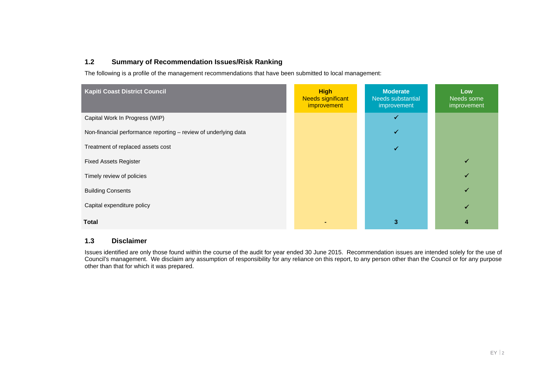#### **1.2 Summary of Recommendation Issues/Risk Ranking**

The following is a profile of the management recommendations that have been submitted to local management:

| <b>Kapiti Coast District Council</b>                            | <b>High</b><br><b>Needs significant</b><br>improvement | <b>Moderate</b><br>Needs substantial<br>improvement | Low<br>Needs some<br>improvement |
|-----------------------------------------------------------------|--------------------------------------------------------|-----------------------------------------------------|----------------------------------|
| Capital Work In Progress (WIP)                                  |                                                        | ✔                                                   |                                  |
| Non-financial performance reporting - review of underlying data |                                                        | ✓                                                   |                                  |
| Treatment of replaced assets cost                               |                                                        | $\checkmark$                                        |                                  |
| <b>Fixed Assets Register</b>                                    |                                                        |                                                     |                                  |
| Timely review of policies                                       |                                                        |                                                     |                                  |
| <b>Building Consents</b>                                        |                                                        |                                                     | ✓                                |
| Capital expenditure policy                                      |                                                        |                                                     |                                  |
| <b>Total</b>                                                    |                                                        | 3                                                   | 4                                |

#### **1.3 Disclaimer**

Issues identified are only those found within the course of the audit for year ended 30 June 2015. Recommendation issues are intended solely for the use of Council's management. We disclaim any assumption of responsibility for any reliance on this report, to any person other than the Council or for any purpose other than that for which it was prepared.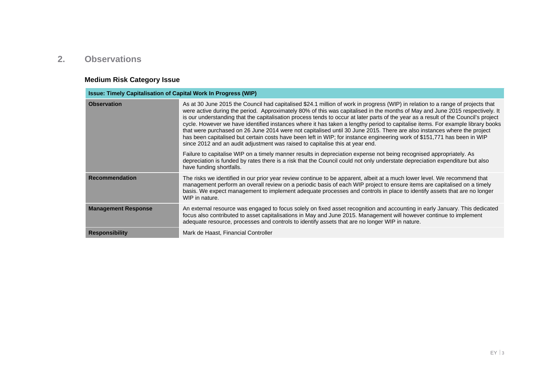## **2. Observations**

## **Medium Risk Category Issue**

| <b>Issue: Timely Capitalisation of Capital Work In Progress (WIP)</b> |                                                                                                                                                                                                                                                                                                                                                                                                                                                                                                                                                                                                                                                                                                                                                                                                                                                                                  |  |
|-----------------------------------------------------------------------|----------------------------------------------------------------------------------------------------------------------------------------------------------------------------------------------------------------------------------------------------------------------------------------------------------------------------------------------------------------------------------------------------------------------------------------------------------------------------------------------------------------------------------------------------------------------------------------------------------------------------------------------------------------------------------------------------------------------------------------------------------------------------------------------------------------------------------------------------------------------------------|--|
| <b>Observation</b>                                                    | As at 30 June 2015 the Council had capitalised \$24.1 million of work in progress (WIP) in relation to a range of projects that<br>were active during the period. Approximately 80% of this was capitalised in the months of May and June 2015 respectively. It<br>is our understanding that the capitalisation process tends to occur at later parts of the year as a result of the Council's project<br>cycle. However we have identified instances where it has taken a lengthy period to capitalise items. For example library books<br>that were purchased on 26 June 2014 were not capitalised until 30 June 2015. There are also instances where the project<br>has been capitalised but certain costs have been left in WIP; for instance engineering work of \$151,771 has been in WIP<br>since 2012 and an audit adjustment was raised to capitalise this at year end. |  |
|                                                                       | Failure to capitalise WIP on a timely manner results in depreciation expense not being recognised appropriately. As<br>depreciation is funded by rates there is a risk that the Council could not only understate depreciation expenditure but also<br>have funding shortfalls.                                                                                                                                                                                                                                                                                                                                                                                                                                                                                                                                                                                                  |  |
| <b>Recommendation</b>                                                 | The risks we identified in our prior year review continue to be apparent, albeit at a much lower level. We recommend that<br>management perform an overall review on a periodic basis of each WIP project to ensure items are capitalised on a timely<br>basis. We expect management to implement adequate processes and controls in place to identify assets that are no longer<br>WIP in nature.                                                                                                                                                                                                                                                                                                                                                                                                                                                                               |  |
| <b>Management Response</b>                                            | An external resource was engaged to focus solely on fixed asset recognition and accounting in early January. This dedicated<br>focus also contributed to asset capitalisations in May and June 2015. Management will however continue to implement<br>adequate resource, processes and controls to identify assets that are no longer WIP in nature.                                                                                                                                                                                                                                                                                                                                                                                                                                                                                                                             |  |
| <b>Responsibility</b>                                                 | Mark de Haast, Financial Controller                                                                                                                                                                                                                                                                                                                                                                                                                                                                                                                                                                                                                                                                                                                                                                                                                                              |  |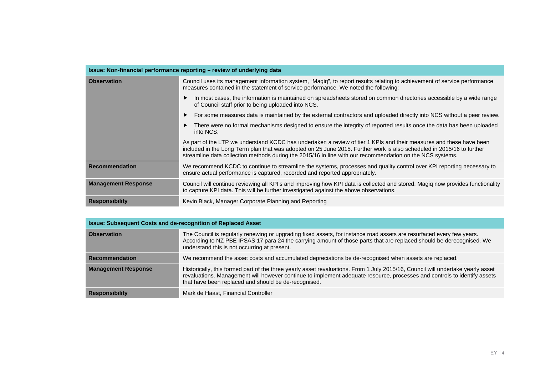| Issue: Non-financial performance reporting - review of underlying data                                                                                                                                                                 |                                                                                                                                                                                                                                                                                                                                                           |  |
|----------------------------------------------------------------------------------------------------------------------------------------------------------------------------------------------------------------------------------------|-----------------------------------------------------------------------------------------------------------------------------------------------------------------------------------------------------------------------------------------------------------------------------------------------------------------------------------------------------------|--|
| <b>Observation</b><br>Council uses its management information system, "Magiq", to report results relating to achievement of service performance<br>measures contained in the statement of service performance. We noted the following: |                                                                                                                                                                                                                                                                                                                                                           |  |
|                                                                                                                                                                                                                                        | In most cases, the information is maintained on spreadsheets stored on common directories accessible by a wide range<br>of Council staff prior to being uploaded into NCS.                                                                                                                                                                                |  |
|                                                                                                                                                                                                                                        | For some measures data is maintained by the external contractors and uploaded directly into NCS without a peer review.                                                                                                                                                                                                                                    |  |
|                                                                                                                                                                                                                                        | There were no formal mechanisms designed to ensure the integrity of reported results once the data has been uploaded<br>into NCS.                                                                                                                                                                                                                         |  |
|                                                                                                                                                                                                                                        | As part of the LTP we understand KCDC has undertaken a review of tier 1 KPIs and their measures and these have been<br>included in the Long Term plan that was adopted on 25 June 2015. Further work is also scheduled in 2015/16 to further<br>streamline data collection methods during the 2015/16 in line with our recommendation on the NCS systems. |  |
| <b>Recommendation</b>                                                                                                                                                                                                                  | We recommend KCDC to continue to streamline the systems, processes and quality control over KPI reporting necessary to<br>ensure actual performance is captured, recorded and reported appropriately.                                                                                                                                                     |  |
| <b>Management Response</b>                                                                                                                                                                                                             | Council will continue reviewing all KPI's and improving how KPI data is collected and stored. Magiq now provides functionality<br>to capture KPI data. This will be further investigated against the above observations.                                                                                                                                  |  |
| <b>Responsibility</b>                                                                                                                                                                                                                  | Kevin Black, Manager Corporate Planning and Reporting                                                                                                                                                                                                                                                                                                     |  |

| <b>Issue: Subsequent Costs and de-recognition of Replaced Asset</b> |                                                                                                                                                                                                                                                                                                                     |  |
|---------------------------------------------------------------------|---------------------------------------------------------------------------------------------------------------------------------------------------------------------------------------------------------------------------------------------------------------------------------------------------------------------|--|
| <b>Observation</b>                                                  | The Council is regularly renewing or upgrading fixed assets, for instance road assets are resurfaced every few years.<br>According to NZ PBE IPSAS 17 para 24 the carrying amount of those parts that are replaced should be derecognised. We<br>understand this is not occurring at present.                       |  |
| <b>Recommendation</b>                                               | We recommend the asset costs and accumulated depreciations be de-recognised when assets are replaced.                                                                                                                                                                                                               |  |
| <b>Management Response</b>                                          | Historically, this formed part of the three yearly asset revaluations. From 1 July 2015/16, Council will undertake yearly asset<br>revaluations. Management will however continue to implement adequate resource, processes and controls to identify assets<br>that have been replaced and should be de-recognised. |  |
| <b>Responsibility</b>                                               | Mark de Haast, Financial Controller                                                                                                                                                                                                                                                                                 |  |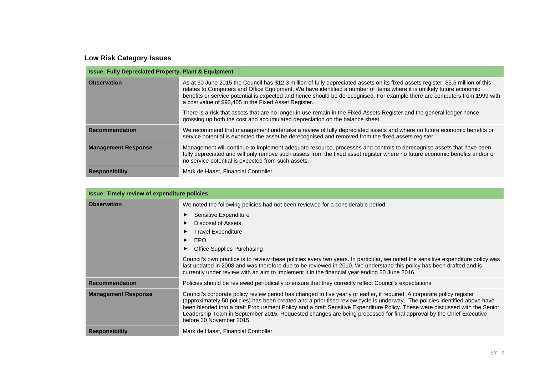## **Low Risk Category Issues**

| <b>Issue: Fully Depreciated Property, Plant &amp; Equipment</b> |                                                                                                                                                                                                                                                                                                                                                                                                                                                  |  |
|-----------------------------------------------------------------|--------------------------------------------------------------------------------------------------------------------------------------------------------------------------------------------------------------------------------------------------------------------------------------------------------------------------------------------------------------------------------------------------------------------------------------------------|--|
| <b>Observation</b>                                              | As at 30 June 2015 the Council has \$12.3 million of fully depreciated assets on its fixed assets register, \$5.5 million of this<br>relates to Computers and Office Equipment. We have identified a number of items where it is unlikely future economic<br>benefits or service potential is expected and hence should be derecognised. For example there are computers from 1999 with<br>a cost value of \$93,405 in the Fixed Asset Register. |  |
|                                                                 | There is a risk that assets that are no longer in use remain in the Fixed Assets Register and the general ledger hence<br>grossing up both the cost and accumulated depreciation on the balance sheet.                                                                                                                                                                                                                                           |  |
| <b>Recommendation</b>                                           | We recommend that management undertake a review of fully depreciated assets and where no future economic benefits or<br>service potential is expected the asset be derecognised and removed from the fixed assets register.                                                                                                                                                                                                                      |  |
| <b>Management Response</b>                                      | Management will continue to implement adequate resource, processes and controls to derecognise assets that have been<br>fully depreciated and will only remove such assets from the fixed asset register where no future economic benefits and/or or<br>no service potential is expected from such assets.                                                                                                                                       |  |
| <b>Responsibility</b>                                           | Mark de Haast, Financial Controller                                                                                                                                                                                                                                                                                                                                                                                                              |  |

| <b>Issue: Timely review of expenditure policies</b>                                                    |                                                                                                                                                                                                                                                                                                                                                                                                                                                                                                                                          |  |
|--------------------------------------------------------------------------------------------------------|------------------------------------------------------------------------------------------------------------------------------------------------------------------------------------------------------------------------------------------------------------------------------------------------------------------------------------------------------------------------------------------------------------------------------------------------------------------------------------------------------------------------------------------|--|
| We noted the following policies had not been reviewed for a considerable period:<br><b>Observation</b> |                                                                                                                                                                                                                                                                                                                                                                                                                                                                                                                                          |  |
|                                                                                                        | Sensitive Expenditure<br>Disposal of Assets<br><b>Travel Expenditure</b><br><b>EPO</b><br><b>Office Supplies Purchasing</b><br>Council's own practice is to review these policies every two years. In particular, we noted the sensitive expenditure policy was<br>last updated in 2008 and was therefore due to be reviewed in 2010. We understand this policy has been drafted and is<br>currently under review with an aim to implement it in the financial year ending 30 June 2016.                                                 |  |
| <b>Recommendation</b>                                                                                  | Policies should be reviewed periodically to ensure that they correctly reflect Council's expectations                                                                                                                                                                                                                                                                                                                                                                                                                                    |  |
| <b>Management Response</b>                                                                             | Council's corporate policy review period has changed to five yearly or earlier, if required. A corporate policy register<br>(approximately 50 policies) has been created and a prioritised review cycle is underway. The policies identified above have<br>been blended into a draft Procurement Policy and a draft Sensitive Expenditure Policy. These were discussed with the Senior<br>Leadership Team in September 2015. Requested changes are being processed for final approval by the Chief Executive<br>before 30 November 2015. |  |
| <b>Responsibility</b>                                                                                  | Mark de Haast, Financial Controller                                                                                                                                                                                                                                                                                                                                                                                                                                                                                                      |  |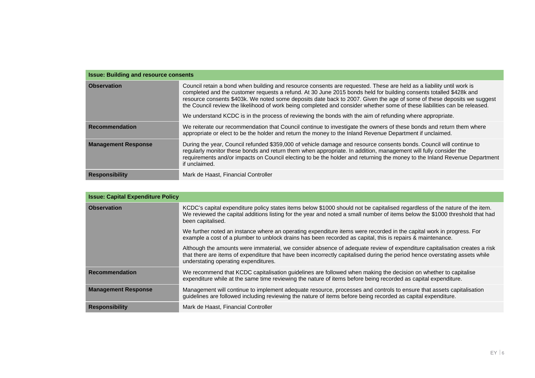| <b>Issue: Building and resource consents</b> |                                                                                                                                                                                                                                                                                                                                                                                                                                                                                                                                                                                                               |  |
|----------------------------------------------|---------------------------------------------------------------------------------------------------------------------------------------------------------------------------------------------------------------------------------------------------------------------------------------------------------------------------------------------------------------------------------------------------------------------------------------------------------------------------------------------------------------------------------------------------------------------------------------------------------------|--|
| <b>Observation</b>                           | Council retain a bond when building and resource consents are requested. These are held as a liability until work is<br>completed and the customer requests a refund. At 30 June 2015 bonds held for building consents totalled \$428k and<br>resource consents \$403k. We noted some deposits date back to 2007. Given the age of some of these deposits we suggest<br>the Council review the likelihood of work being completed and consider whether some of these liabilities can be released.<br>We understand KCDC is in the process of reviewing the bonds with the aim of refunding where appropriate. |  |
|                                              |                                                                                                                                                                                                                                                                                                                                                                                                                                                                                                                                                                                                               |  |
| Recommendation                               | We reiterate our recommendation that Council continue to investigate the owners of these bonds and return them where<br>appropriate or elect to be the holder and return the money to the Inland Revenue Department if unclaimed.                                                                                                                                                                                                                                                                                                                                                                             |  |
| <b>Management Response</b>                   | During the year, Council refunded \$359,000 of vehicle damage and resource consents bonds. Council will continue to<br>regularly monitor these bonds and return them when appropriate. In addition, management will fully consider the<br>requirements and/or impacts on Council electing to be the holder and returning the money to the Inland Revenue Department<br>if unclaimed.                                                                                                                                                                                                                          |  |
| <b>Responsibility</b>                        | Mark de Haast, Financial Controller                                                                                                                                                                                                                                                                                                                                                                                                                                                                                                                                                                           |  |

| <b>Issue: Capital Expenditure Policy</b> |                                                                                                                                                                                                                                                                                                  |  |
|------------------------------------------|--------------------------------------------------------------------------------------------------------------------------------------------------------------------------------------------------------------------------------------------------------------------------------------------------|--|
| <b>Observation</b>                       | KCDC's capital expenditure policy states items below \$1000 should not be capitalised regardless of the nature of the item.<br>We reviewed the capital additions listing for the year and noted a small number of items below the \$1000 threshold that had<br>been capitalised.                 |  |
|                                          | We further noted an instance where an operating expenditure items were recorded in the capital work in progress. For<br>example a cost of a plumber to unblock drains has been recorded as capital, this is repairs & maintenance.                                                               |  |
|                                          | Although the amounts were immaterial, we consider absence of adequate review of expenditure capitalisation creates a risk<br>that there are items of expenditure that have been incorrectly capitalised during the period hence overstating assets while<br>understating operating expenditures. |  |
| <b>Recommendation</b>                    | We recommend that KCDC capitalisation quidelines are followed when making the decision on whether to capitalise<br>expenditure while at the same time reviewing the nature of items before being recorded as capital expenditure.                                                                |  |
| <b>Management Response</b>               | Management will continue to implement adequate resource, processes and controls to ensure that assets capitalisation<br>guidelines are followed including reviewing the nature of items before being recorded as capital expenditure.                                                            |  |
| <b>Responsibility</b>                    | Mark de Haast, Financial Controller                                                                                                                                                                                                                                                              |  |